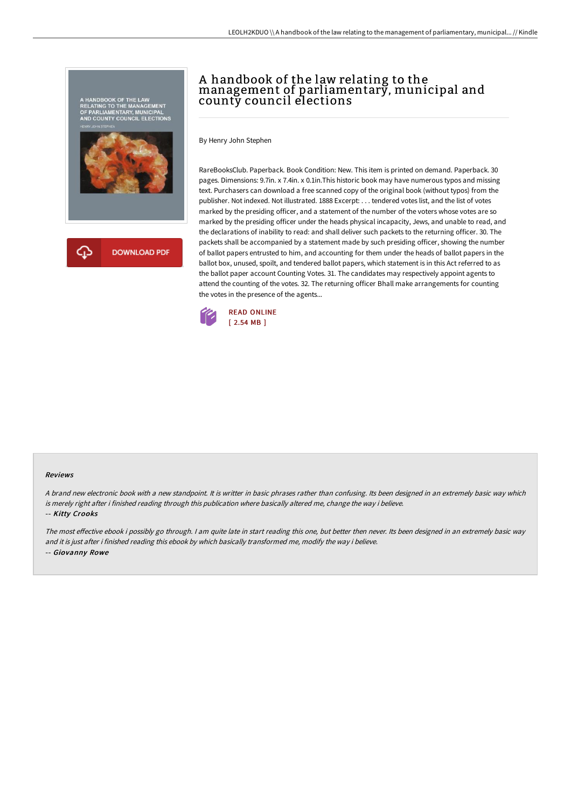

# A handbook of the law relating to the management of parliamentary, municipal and county council elections

By Henry John Stephen

RareBooksClub. Paperback. Book Condition: New. This item is printed on demand. Paperback. 30 pages. Dimensions: 9.7in. x 7.4in. x 0.1in.This historic book may have numerous typos and missing text. Purchasers can download a free scanned copy of the original book (without typos) from the publisher. Not indexed. Not illustrated. 1888 Excerpt: . . . tendered votes list, and the list of votes marked by the presiding officer, and a statement of the number of the voters whose votes are so marked by the presiding officer under the heads physical incapacity, Jews, and unable to read, and the declarations of inability to read: and shall deliver such packets to the returning officer. 30. The packets shall be accompanied by a statement made by such presiding officer, showing the number of ballot papers entrusted to him, and accounting for them under the heads of ballot papers in the ballot box, unused, spoilt, and tendered ballot papers, which statement is in this Act referred to as the ballot paper account Counting Votes. 31. The candidates may respectively appoint agents to attend the counting of the votes. 32. The returning officer Bhall make arrangements for counting the votes in the presence of the agents...



#### Reviews

<sup>A</sup> brand new electronic book with <sup>a</sup> new standpoint. It is writter in basic phrases rather than confusing. Its been designed in an extremely basic way which is merely right after i finished reading through this publication where basically altered me, change the way i believe.

-- Kitty Crooks

The most effective ebook i possibly go through. I am quite late in start reading this one, but better then never. Its been designed in an extremely basic way and it is just after i finished reading this ebook by which basically transformed me, modify the way i believe. -- Giovanny Rowe